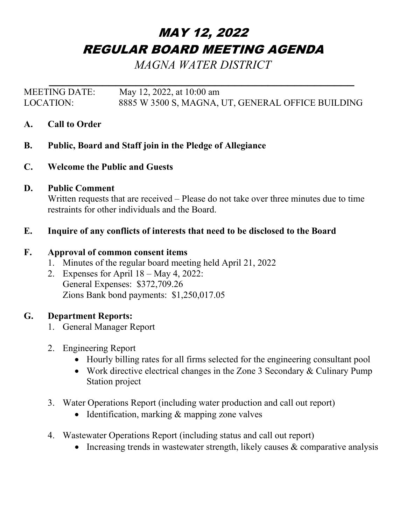# MAY 12, 2022 REGULAR BOARD MEETING AGENDA

*MAGNA WATER DISTRICT*

*\_\_\_\_\_\_\_\_\_\_\_\_\_\_\_\_\_\_\_\_\_\_\_\_\_\_\_\_\_\_\_\_\_\_\_\_\_\_\_\_\_\_\_\_\_\_* MEETING DATE: May 12, 2022, at 10:00 am LOCATION: 8885 W 3500 S, MAGNA, UT, GENERAL OFFICE BUILDING

- **A. Call to Order**
- **B. Public, Board and Staff join in the Pledge of Allegiance**
- **C. Welcome the Public and Guests**

## **D. Public Comment**

Written requests that are received – Please do not take over three minutes due to time restraints for other individuals and the Board.

## **E. Inquire of any conflicts of interests that need to be disclosed to the Board**

#### **F. Approval of common consent items**

- 1. Minutes of the regular board meeting held April 21, 2022
- 2. Expenses for April 18 May 4, 2022: General Expenses: \$372,709.26 Zions Bank bond payments: \$1,250,017.05

#### **G. Department Reports:**

- 1. General Manager Report
- 2. Engineering Report
	- Hourly billing rates for all firms selected for the engineering consultant pool
	- Work directive electrical changes in the Zone 3 Secondary & Culinary Pump Station project
- 3. Water Operations Report (including water production and call out report)
	- Identification, marking & mapping zone valves
- 4. Wastewater Operations Report (including status and call out report)
	- Increasing trends in wastewater strength, likely causes  $\&$  comparative analysis